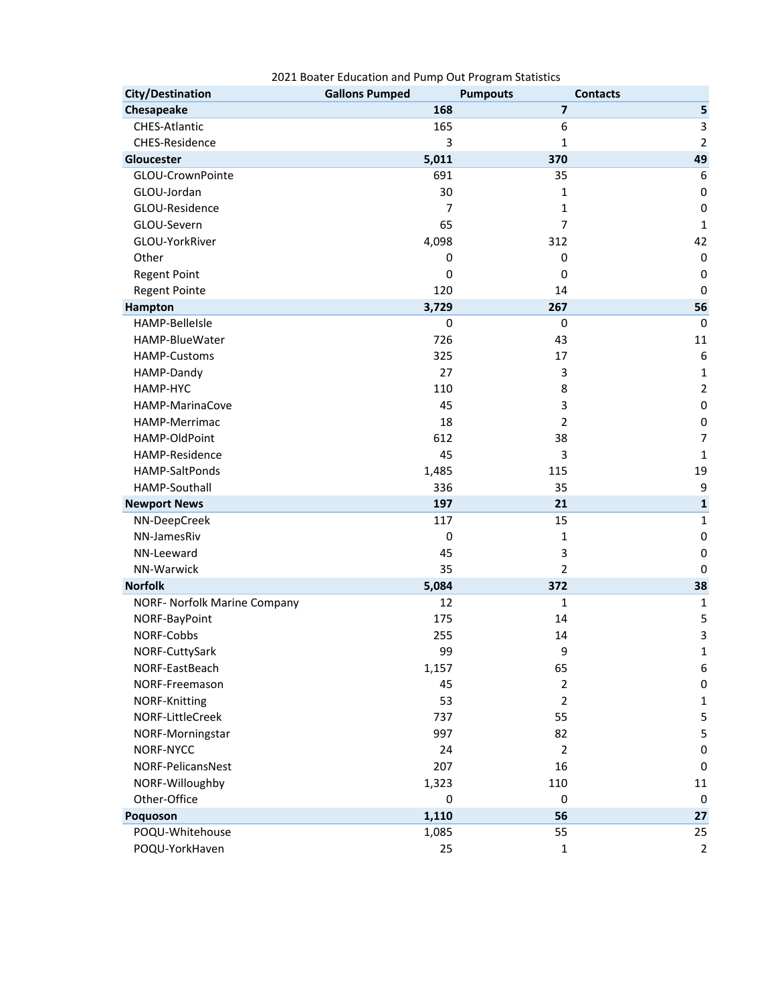| <b>City/Destination</b>             | <b>Gallons Pumped</b> | <b>Pumpouts</b>         | <b>Contacts</b> |
|-------------------------------------|-----------------------|-------------------------|-----------------|
| Chesapeake                          | 168                   | $\overline{\mathbf{z}}$ | 5               |
| CHES-Atlantic                       | 165                   | 6                       | 3               |
| CHES-Residence                      | 3                     | 1                       | $\overline{2}$  |
| Gloucester                          | 5,011                 | 370                     | 49              |
| GLOU-CrownPointe                    | 691                   | 35                      | 6               |
| GLOU-Jordan                         | 30                    | 1                       | $\pmb{0}$       |
| GLOU-Residence                      | 7                     | 1                       | $\pmb{0}$       |
| GLOU-Severn                         | 65                    | 7                       | $\mathbf 1$     |
| GLOU-YorkRiver                      | 4,098                 | 312                     | 42              |
| Other                               | 0                     | 0                       | $\pmb{0}$       |
| <b>Regent Point</b>                 | 0                     | $\mathbf 0$             | $\pmb{0}$       |
| <b>Regent Pointe</b>                | 120                   | 14                      | $\mathbf 0$     |
| Hampton                             | 3,729                 | 267                     | 56              |
| HAMP-BelleIsle                      | 0                     | 0                       | $\mathbf 0$     |
| HAMP-BlueWater                      | 726                   | 43                      | 11              |
| <b>HAMP-Customs</b>                 | 325                   | 17                      | 6               |
| HAMP-Dandy                          | 27                    | 3                       | $\mathbf 1$     |
| HAMP-HYC                            | 110                   | 8                       | $\overline{2}$  |
| HAMP-MarinaCove                     | 45                    | 3                       | $\pmb{0}$       |
| HAMP-Merrimac                       | 18                    | $\overline{2}$          | $\pmb{0}$       |
| HAMP-OldPoint                       | 612                   | 38                      | $\overline{7}$  |
| HAMP-Residence                      | 45                    | 3                       | $\mathbf 1$     |
| HAMP-SaltPonds                      | 1,485                 | 115                     | 19              |
| HAMP-Southall                       | 336                   | 35                      | 9               |
| <b>Newport News</b>                 | 197                   | 21                      | $\mathbf{1}$    |
| NN-DeepCreek                        | 117                   | 15                      | $\mathbf 1$     |
| NN-JamesRiv                         | 0                     | 1                       | $\mathbf 0$     |
| NN-Leeward                          | 45                    | 3                       | 0               |
| NN-Warwick                          | 35                    | $\overline{2}$          | 0               |
| <b>Norfolk</b>                      | 5,084                 | 372                     | 38              |
| <b>NORF- Norfolk Marine Company</b> | 12                    | 1                       | 1               |
| NORF-BayPoint                       | 175                   | 14                      | 5               |
| NORF-Cobbs                          | 255                   | 14                      | 3               |
| NORF-CuttySark                      | 99                    | 9                       | 1               |
| NORF-EastBeach                      | 1,157                 | 65                      | 6               |
| NORF-Freemason                      | 45                    | $\overline{2}$          | $\pmb{0}$       |
| NORF-Knitting                       | 53                    | $\overline{2}$          | 1               |
| NORF-LittleCreek                    | 737                   | 55                      | 5               |
| NORF-Morningstar                    | 997                   | 82                      | 5               |
| NORF-NYCC                           | 24                    | 2                       | 0               |
| NORF-PelicansNest                   | 207                   | 16<br>110               | 0               |
| NORF-Willoughby<br>Other-Office     | 1,323<br>$\pmb{0}$    | $\pmb{0}$               | 11              |
| Poquoson                            | 1,110                 | 56                      | 0<br>27         |
| POQU-Whitehouse                     |                       | 55                      | 25              |
| POQU-YorkHaven                      | 1,085<br>25           | 1                       | $\mathbf 2$     |
|                                     |                       |                         |                 |